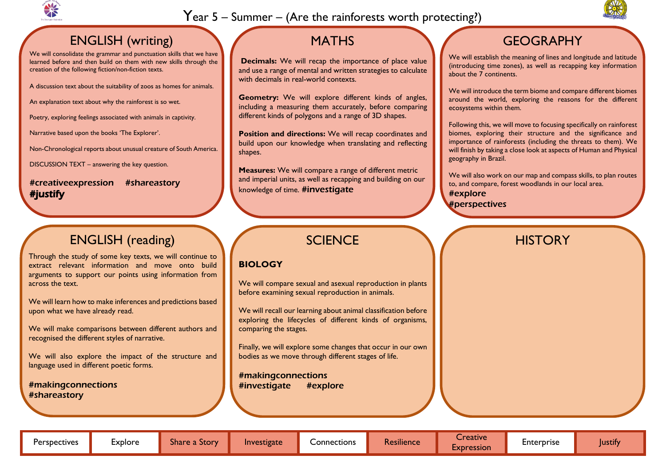

## Year  $5 -$  Summer – (Are the rainforests worth protecting?)

### ENGLISH (writing)

We will consolidate the grammar and punctuation skills that we have learned before and then build on them with new skills through the creation of the following fiction/non-fiction texts.

A discussion text about the suitability of zoos as homes for animals.

**Decimals:** We will recap the importance of place value and use a range of mental and written strategies to calculate with decimals in real-world contexts.

An explanation text about why the rainforest is so wet.

Poetry, exploring feelings associated with animals in captivity.

Narrative based upon the books 'The Explorer'.

**Position and directions:** We will recap coordinates and build upon our knowledge when translating and reflecting shapes.

Non-Chronological reports about unusual creature of South America.

DISCUSSION TEXT – answering the key question.

#### #creativeexpression #shareastory #justify

**Geometry:** We will explore different kinds of angles, including a measuring them accurately, before comparing different kinds of polygons and a range of 3D shapes.

> We will also work on our map and compass skills, to plan routes to, and compare, forest woodlands in our local area.

### SCIENCE NAME HISTORY



**Measures:** We will compare a range of different metric and imperial units, as well as recapping and building on our knowledge of time. #investigate

We will compare sexual and asexual reproduction in plants before examining sexual reproduction in animals.

We will establish the meaning of lines and longitude and latitude (introducing time zones), as well as recapping key information about the 7 continents.

We will introduce the term biome and compare different biomes around the world, exploring the reasons for the different ecosystems within them.

Following this, we will move to focusing specifically on rainforest biomes, exploring their structure and the significance and importance of rainforests (including the threats to them). We will finish by taking a close look at aspects of Human and Physical geography in Brazil.

#explore #perspectives



# **GEOGRAPHY**

# ENGLISH (reading)

Through the study of some key texts, we will continue to extract relevant information and move onto build arguments to support our points using information from across the text.

We will learn how to make inferences and predictions based upon what we have already read.

We will make comparisons between different authors and recognised the different styles of narrative.

We will also explore the impact of the structure and language used in different poetic forms.

#makingconnections #shareastory

# **MATHS**

#### **BIOLOGY**

We will recall our learning about animal classification before exploring the lifecycles of different kinds of organisms, comparing the stages.

Finally, we will explore some changes that occur in our own bodies as we move through different stages of life.

#makingconnections #investigate #explore